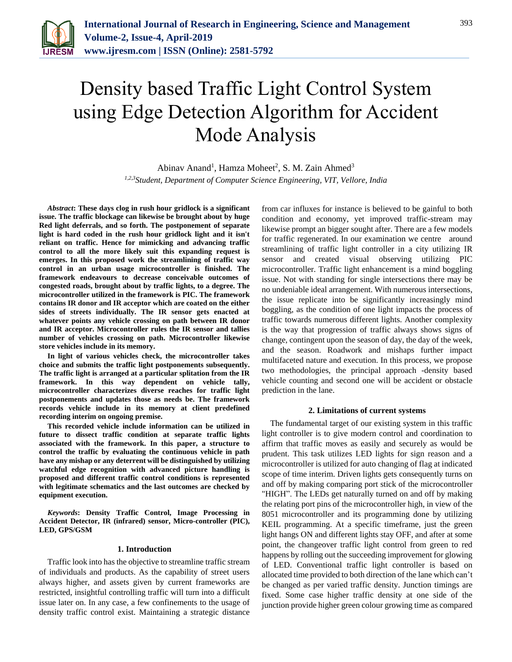

# Density based Traffic Light Control System using Edge Detection Algorithm for Accident Mode Analysis

Abinav Anand<sup>1</sup>, Hamza Moheet<sup>2</sup>, S. M. Zain Ahmed<sup>3</sup> *1,2,3Student, Department of Computer Science Engineering, VIT, Vellore, India*

*Abstract***: These days clog in rush hour gridlock is a significant issue. The traffic blockage can likewise be brought about by huge Red light deferrals, and so forth. The postponement of separate light is hard coded in the rush hour gridlock light and it isn't reliant on traffic. Hence for mimicking and advancing traffic control to all the more likely suit this expanding request is emerges. In this proposed work the streamlining of traffic way control in an urban usage microcontroller is finished. The framework endeavours to decrease conceivable outcomes of congested roads, brought about by traffic lights, to a degree. The microcontroller utilized in the framework is PIC. The framework contains IR donor and IR acceptor which are coated on the either sides of streets individually. The IR sensor gets enacted at whatever points any vehicle crossing on path between IR donor and IR acceptor. Microcontroller rules the IR sensor and tallies number of vehicles crossing on path. Microcontroller likewise store vehicles include in its memory.**

**In light of various vehicles check, the microcontroller takes choice and submits the traffic light postponements subsequently. The traffic light is arranged at a particular splitation from the IR framework. In this way dependent on vehicle tally, microcontroller characterizes diverse reaches for traffic light postponements and updates those as needs be. The framework records vehicle include in its memory at client predefined recording interim on ongoing premise.** 

**This recorded vehicle include information can be utilized in future to dissect traffic condition at separate traffic lights associated with the framework. In this paper, a structure to control the traffic by evaluating the continuous vehicle in path have any mishap or any deterrent will be distinguished by utilizing watchful edge recognition with advanced picture handling is proposed and different traffic control conditions is represented with legitimate schematics and the last outcomes are checked by equipment execution.**

*Keywords***: Density Traffic Control, Image Processing in Accident Detector, IR (infrared) sensor, Micro-controller (PIC), LED, GPS/GSM**

#### **1. Introduction**

Traffic look into has the objective to streamline traffic stream of individuals and products. As the capability of street users always higher, and assets given by current frameworks are restricted, insightful controlling traffic will turn into a difficult issue later on. In any case, a few confinements to the usage of density traffic control exist. Maintaining a strategic distance

from car influxes for instance is believed to be gainful to both condition and economy, yet improved traffic-stream may likewise prompt an bigger sought after. There are a few models for traffic regenerated. In our examination we centre around streamlining of traffic light controller in a city utilizing IR sensor and created visual observing utilizing PIC microcontroller. Traffic light enhancement is a mind boggling issue. Not with standing for single intersections there may be no undeniable ideal arrangement. With numerous intersections, the issue replicate into be significantly increasingly mind boggling, as the condition of one light impacts the process of traffic towards numerous different lights. Another complexity is the way that progression of traffic always shows signs of change, contingent upon the season of day, the day of the week, and the season. Roadwork and mishaps further impact multifaceted nature and execution. In this process, we propose two methodologies, the principal approach -density based vehicle counting and second one will be accident or obstacle prediction in the lane.

#### **2. Limitations of current systems**

The fundamental target of our existing system in this traffic light controller is to give modern control and coordination to affirm that traffic moves as easily and securely as would be prudent. This task utilizes LED lights for sign reason and a microcontroller is utilized for auto changing of flag at indicated scope of time interim. Driven lights gets consequently turns on and off by making comparing port stick of the microcontroller "HIGH". The LEDs get naturally turned on and off by making the relating port pins of the microcontroller high, in view of the 8051 microcontroller and its programming done by utilizing KEIL programming. At a specific timeframe, just the green light hangs ON and different lights stay OFF, and after at some point, the changeover traffic light control from green to red happens by rolling out the succeeding improvement for glowing of LED. Conventional traffic light controller is based on allocated time provided to both direction of the lane which can't be changed as per varied traffic density. Junction timings are fixed. Some case higher traffic density at one side of the junction provide higher green colour growing time as compared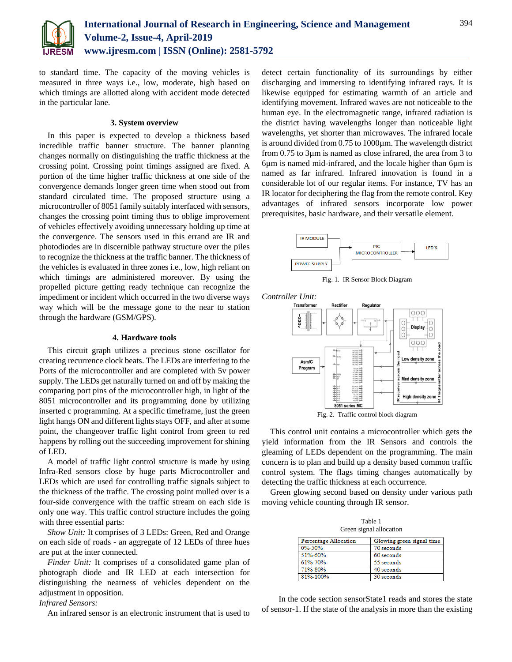

to standard time. The capacity of the moving vehicles is measured in three ways i.e., low, moderate, high based on which timings are allotted along with accident mode detected in the particular lane.

# **3. System overview**

In this paper is expected to develop a thickness based incredible traffic banner structure. The banner planning changes normally on distinguishing the traffic thickness at the crossing point. Crossing point timings assigned are fixed. A portion of the time higher traffic thickness at one side of the convergence demands longer green time when stood out from standard circulated time. The proposed structure using a microcontroller of 8051 family suitably interfaced with sensors, changes the crossing point timing thus to oblige improvement of vehicles effectively avoiding unnecessary holding up time at the convergence. The sensors used in this errand are IR and photodiodes are in discernible pathway structure over the piles to recognize the thickness at the traffic banner. The thickness of the vehicles is evaluated in three zones i.e., low, high reliant on which timings are administered moreover. By using the propelled picture getting ready technique can recognize the impediment or incident which occurred in the two diverse ways way which will be the message gone to the near to station through the hardware (GSM/GPS).

#### **4. Hardware tools**

This circuit graph utilizes a precious stone oscillator for creating recurrence clock beats. The LEDs are interfering to the Ports of the microcontroller and are completed with 5v power supply. The LEDs get naturally turned on and off by making the comparing port pins of the microcontroller high, in light of the 8051 microcontroller and its programming done by utilizing inserted c programming. At a specific timeframe, just the green light hangs ON and different lights stays OFF, and after at some point, the changeover traffic light control from green to red happens by rolling out the succeeding improvement for shining of LED.

A model of traffic light control structure is made by using Infra-Red sensors close by huge parts Microcontroller and LEDs which are used for controlling traffic signals subject to the thickness of the traffic. The crossing point mulled over is a four-side convergence with the traffic stream on each side is only one way. This traffic control structure includes the going with three essential parts:

*Show Unit:* It comprises of 3 LEDs: Green, Red and Orange on each side of roads - an aggregate of 12 LEDs of three hues are put at the inter connected.

*Finder Unit:* It comprises of a consolidated game plan of photograph diode and IR LED at each intersection for distinguishing the nearness of vehicles dependent on the adjustment in opposition.

*Infrared Sensors:*

An infrared sensor is an electronic instrument that is used to

detect certain functionality of its surroundings by either discharging and immersing to identifying infrared rays. It is likewise equipped for estimating warmth of an article and identifying movement. Infrared waves are not noticeable to the human eye. In the electromagnetic range, infrared radiation is the district having wavelengths longer than noticeable light wavelengths, yet shorter than microwaves. The infrared locale is around divided from 0.75 to 1000µm. The wavelength district from 0.75 to 3µm is named as close infrared, the area from 3 to 6µm is named mid-infrared, and the locale higher than 6µm is named as far infrared. Infrared innovation is found in a considerable lot of our regular items. For instance, TV has an IR locator for deciphering the flag from the remote control. Key advantages of infrared sensors incorporate low power prerequisites, basic hardware, and their versatile element.



Fig. 1. IR Sensor Block Diagram



Fig. 2. Traffic control block diagram

This control unit contains a microcontroller which gets the yield information from the IR Sensors and controls the gleaming of LEDs dependent on the programming. The main concern is to plan and build up a density based common traffic control system. The flags timing changes automatically by detecting the traffic thickness at each occurrence.

Green glowing second based on density under various path moving vehicle counting through IR sensor.

| Table 1                 |  |  |
|-------------------------|--|--|
| Green signal allocation |  |  |

| <b>Percentage Allocation</b> | Glowing green signal time |  |
|------------------------------|---------------------------|--|
| $0\% - 50\%$                 | 70 seconds                |  |
| 51%-60%                      | 60 seconds                |  |
| 61%-70%                      | 55 seconds                |  |
| 71%-80%                      | 40 seconds                |  |
| 81%-100%                     | 30 seconds                |  |

 In the code section sensorState1 reads and stores the state of sensor-1. If the state of the analysis in more than the existing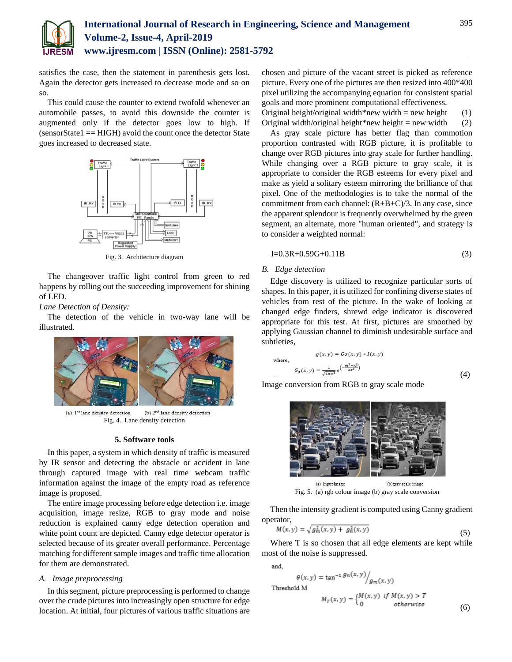

satisfies the case, then the statement in parenthesis gets lost. Again the detector gets increased to decrease mode and so on so.

This could cause the counter to extend twofold whenever an automobile passes, to avoid this downside the counter is augmented only if the detector goes low to high. If (sensorState1 == HIGH) avoid the count once the detector State goes increased to decreased state.



Fig. 3. Architecture diagram

The changeover traffic light control from green to red happens by rolling out the succeeding improvement for shining of LED.

*Lane Detection of Density:*

The detection of the vehicle in two-way lane will be illustrated.



(a) 1<sup>st</sup> lane density detection (b) 2<sup>nd</sup> lane density detection Fig. 4. Lane density detection

# **5. Software tools**

In this paper, a system in which density of traffic is measured by IR sensor and detecting the obstacle or accident in lane through captured image with real time webcam traffic information against the image of the empty road as reference image is proposed.

The entire image processing before edge detection i.e. image acquisition, image resize, RGB to gray mode and noise reduction is explained canny edge detection operation and white point count are depicted. Canny edge detector operator is selected because of its greater overall performance. Percentage matching for different sample images and traffic time allocation for them are demonstrated.

# *A. Image preprocessing*

In this segment, picture preprocessing is performed to change over the crude pictures into increasingly open structure for edge location. At initial, four pictures of various traffic situations are

chosen and picture of the vacant street is picked as reference picture. Every one of the pictures are then resized into 400\*400 pixel utilizing the accompanying equation for consistent spatial goals and more prominent computational effectiveness.

Original height/original width\*new width = new height (1) Original width/original height\*new height = new width (2)

As gray scale picture has better flag than commotion proportion contrasted with RGB picture, it is profitable to change over RGB pictures into gray scale for further handling. While changing over a RGB picture to gray scale, it is appropriate to consider the RGB esteems for every pixel and make as yield a solitary esteem mirroring the brilliance of that pixel. One of the methodologies is to take the normal of the commitment from each channel: (R+B+C)/3. In any case, since the apparent splendour is frequently overwhelmed by the green segment, an alternate, more "human oriented", and strategy is to consider a weighted normal:

$$
I=0.3R+0.59G+0.11B
$$
 (3)

# *B. Edge detection*

wh

Edge discovery is utilized to recognize particular sorts of shapes. In this paper, it is utilized for confining diverse states of vehicles from rest of the picture. In the wake of looking at changed edge finders, shrewd edge indicator is discovered appropriate for this test. At first, pictures are smoothed by applying Gaussian channel to diminish undesirable surface and subtleties,

$$
g(x, y) = G\sigma(x, y) * I(x, y)
$$
  
ere,  

$$
G_{\sigma}(x, y) = \frac{1}{\sqrt{2\pi\sigma^2}} e^{-\frac{m^2 + n^2}{2\sigma^2}}
$$
 (4)

Image conversion from RGB to gray scale mode



(a) Input image (b)gray scale image Fig. 5. (a) rgb colour image (b) gray scale conversion

Then the intensity gradient is computed using Canny gradient operator,

$$
M(x, y) = \sqrt{g_m^2(x, y) + g_n^2(x, y)}
$$
(5)

Where T is so chosen that all edge elements are kept while most of the noise is suppressed.

and.

Thre

$$
\theta(x, y) = \tan^{-1} \frac{g_n(x, y)}{g_m(x, y)}
$$
\nshould M

\n
$$
M_T(x, y) = \begin{cases} M(x, y) & \text{if } M(x, y) > T \\ 0 & \text{otherwise} \end{cases} \tag{6}
$$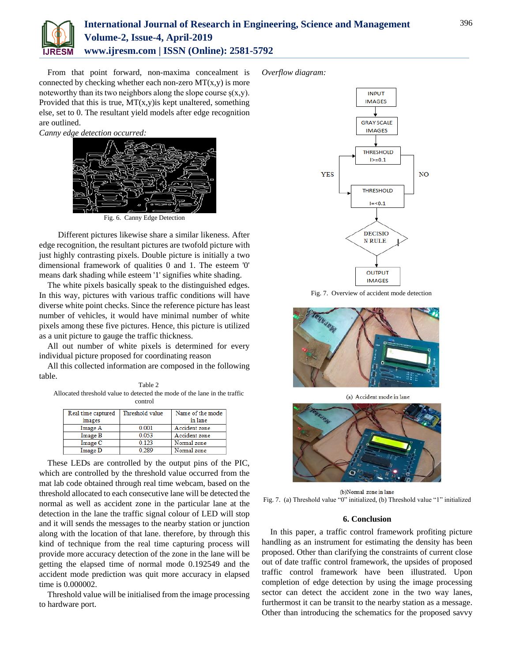

# **International Journal of Research in Engineering, Science and Management Volume-2, Issue-4, April-2019 www.ijresm.com | ISSN (Online): 2581-5792**

From that point forward, non-maxima concealment is connected by checking whether each non-zero  $MT(x,y)$  is more noteworthy than its two neighbors along the slope course  $s(x,y)$ . Provided that this is true,  $MT(x,y)$  is kept unaltered, something else, set to 0. The resultant yield models after edge recognition are outlined.

*Canny edge detection occurred:*



Fig. 6. Canny Edge Detection

 Different pictures likewise share a similar likeness. After edge recognition, the resultant pictures are twofold picture with just highly contrasting pixels. Double picture is initially a two dimensional framework of qualities 0 and 1. The esteem '0' means dark shading while esteem '1' signifies white shading.

The white pixels basically speak to the distinguished edges. In this way, pictures with various traffic conditions will have diverse white point checks. Since the reference picture has least number of vehicles, it would have minimal number of white pixels among these five pictures. Hence, this picture is utilized as a unit picture to gauge the traffic thickness.

All out number of white pixels is determined for every individual picture proposed for coordinating reason

All this collected information are composed in the following table.

Table 2 Allocated threshold value to detected the mode of the lane in the traffic control

| Real time captured | Threshold value | Name of the mode |
|--------------------|-----------------|------------------|
| images             |                 | in lane          |
| Image A            | 0.001           | Accident zone    |
| Image B            | 0.053           | Accident zone    |
| Image C            | 0.123           | Normal zone      |
| Image D            | 0.289           | Normal zone      |

These LEDs are controlled by the output pins of the PIC, which are controlled by the threshold value occurred from the mat lab code obtained through real time webcam, based on the threshold allocated to each consecutive lane will be detected the normal as well as accident zone in the particular lane at the detection in the lane the traffic signal colour of LED will stop and it will sends the messages to the nearby station or junction along with the location of that lane. therefore, by through this kind of technique from the real time capturing process will provide more accuracy detection of the zone in the lane will be getting the elapsed time of normal mode 0.192549 and the accident mode prediction was quit more accuracy in elapsed time is 0.000002.

Threshold value will be initialised from the image processing to hardware port.

*Overflow diagram:*



Fig. 7. Overview of accident mode detection

![](_page_3_Picture_17.jpeg)

(a) Accident mode in lane

![](_page_3_Picture_19.jpeg)

(b)Normal zone in lane Fig. 7. (a) Threshold value "0" initialized, (b) Threshold value "1" initialized

### **6. Conclusion**

In this paper, a traffic control framework profiting picture handling as an instrument for estimating the density has been proposed. Other than clarifying the constraints of current close out of date traffic control framework, the upsides of proposed traffic control framework have been illustrated. Upon completion of edge detection by using the image processing sector can detect the accident zone in the two way lanes, furthermost it can be transit to the nearby station as a message. Other than introducing the schematics for the proposed savvy